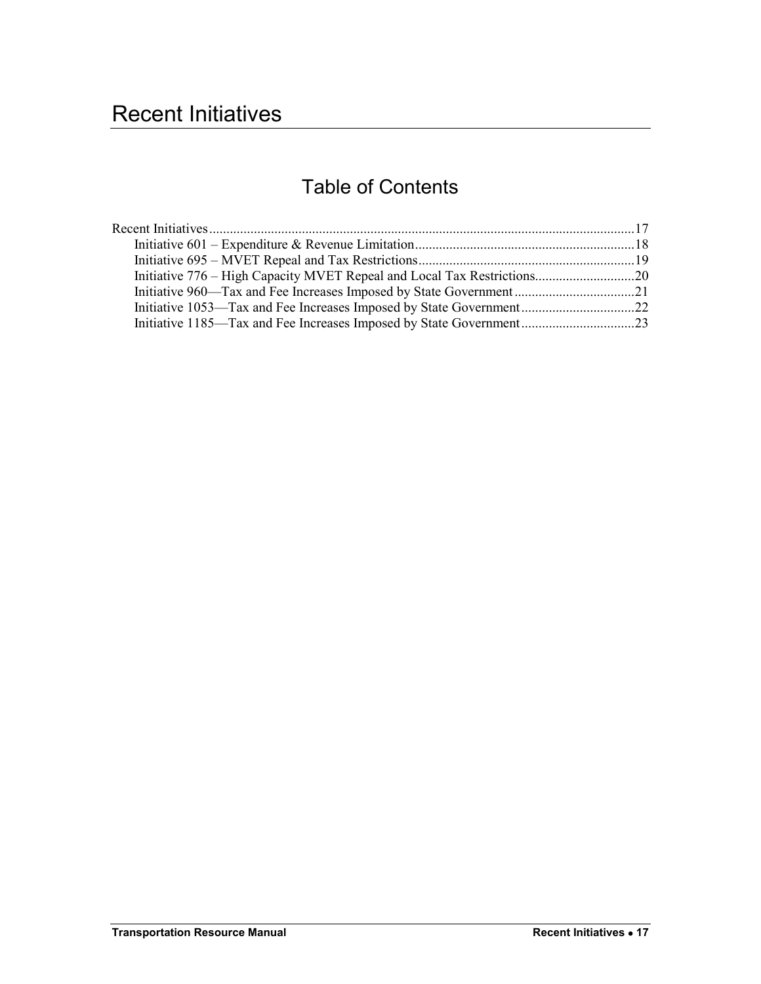# <span id="page-0-0"></span>Recent Initiatives

## Table of Contents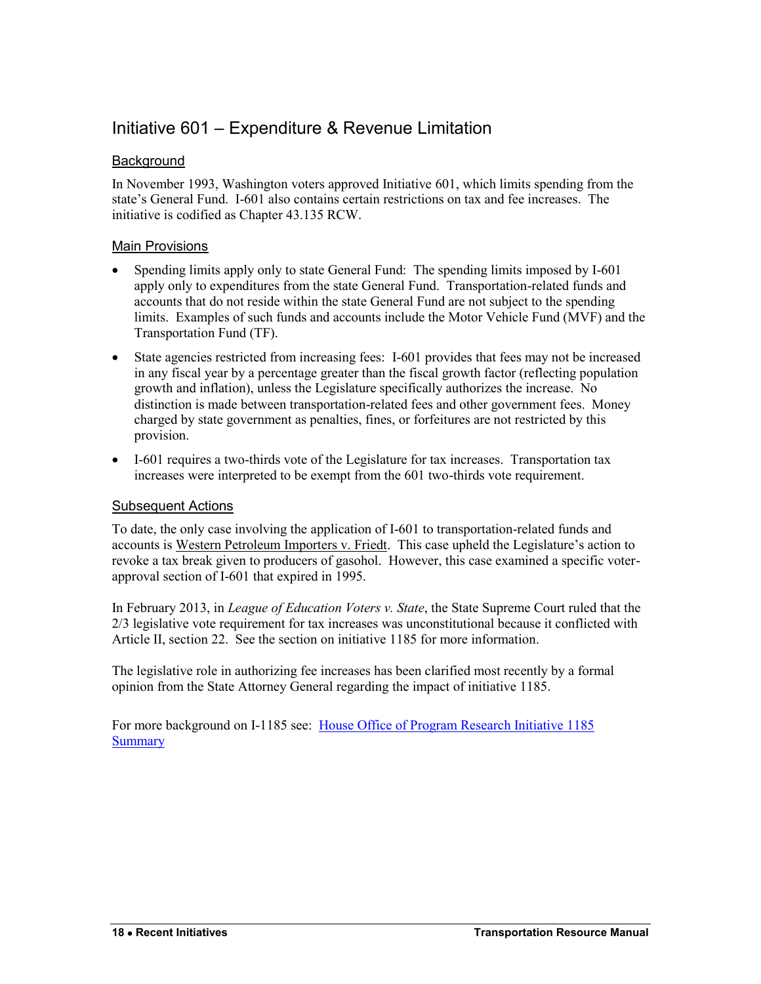### <span id="page-1-0"></span>Initiative 601 – Expenditure & Revenue Limitation

### **Background**

In November 1993, Washington voters approved Initiative 601, which limits spending from the state's General Fund. I-601 also contains certain restrictions on tax and fee increases. The initiative is codified as Chapter 43.135 RCW.

### Main Provisions

- Spending limits apply only to state General Fund: The spending limits imposed by I-601 apply only to expenditures from the state General Fund. Transportation-related funds and accounts that do not reside within the state General Fund are not subject to the spending limits. Examples of such funds and accounts include the Motor Vehicle Fund (MVF) and the Transportation Fund (TF).
- State agencies restricted from increasing fees: I-601 provides that fees may not be increased in any fiscal year by a percentage greater than the fiscal growth factor (reflecting population growth and inflation), unless the Legislature specifically authorizes the increase. No distinction is made between transportation-related fees and other government fees. Money charged by state government as penalties, fines, or forfeitures are not restricted by this provision.
- I-601 requires a two-thirds vote of the Legislature for tax increases. Transportation tax increases were interpreted to be exempt from the 601 two-thirds vote requirement.

### Subsequent Actions

To date, the only case involving the application of I-601 to transportation-related funds and accounts is Western Petroleum Importers v. Friedt. This case upheld the Legislature's action to revoke a tax break given to producers of gasohol. However, this case examined a specific voterapproval section of I-601 that expired in 1995.

In February 2013, in *League of Education Voters v. State*, the State Supreme Court ruled that the 2/3 legislative vote requirement for tax increases was unconstitutional because it conflicted with Article II, section 22. See the section on initiative 1185 for more information.

The legislative role in authorizing fee increases has been clarified most recently by a formal opinion from the State Attorney General regarding the impact of initiative 1185.

For more background on I-1185 see: [House Office of Program Research Initiative 1185](http://www.leg.wa.gov/House/Committees/OPRGeneral/Documents/2012/I-1185%20summary.pdf)  **[Summary](http://www.leg.wa.gov/House/Committees/OPRGeneral/Documents/2012/I-1185%20summary.pdf)**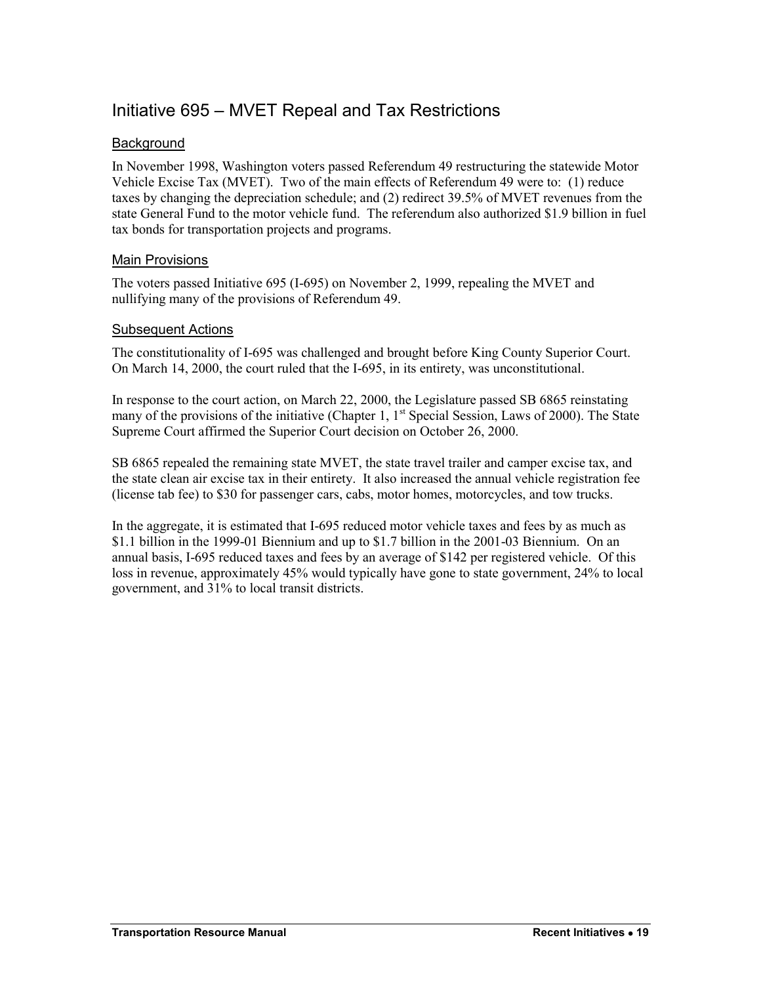### <span id="page-2-0"></span>Initiative 695 – MVET Repeal and Tax Restrictions

### **Background**

In November 1998, Washington voters passed Referendum 49 restructuring the statewide Motor Vehicle Excise Tax (MVET). Two of the main effects of Referendum 49 were to: (1) reduce taxes by changing the depreciation schedule; and (2) redirect 39.5% of MVET revenues from the state General Fund to the motor vehicle fund. The referendum also authorized \$1.9 billion in fuel tax bonds for transportation projects and programs.

### Main Provisions

The voters passed Initiative 695 (I-695) on November 2, 1999, repealing the MVET and nullifying many of the provisions of Referendum 49.

#### Subsequent Actions

The constitutionality of I-695 was challenged and brought before King County Superior Court. On March 14, 2000, the court ruled that the I-695, in its entirety, was unconstitutional.

In response to the court action, on March 22, 2000, the Legislature passed SB 6865 reinstating many of the provisions of the initiative (Chapter 1,  $1<sup>st</sup>$  Special Session, Laws of 2000). The State Supreme Court affirmed the Superior Court decision on October 26, 2000.

SB 6865 repealed the remaining state MVET, the state travel trailer and camper excise tax, and the state clean air excise tax in their entirety. It also increased the annual vehicle registration fee (license tab fee) to \$30 for passenger cars, cabs, motor homes, motorcycles, and tow trucks.

In the aggregate, it is estimated that I-695 reduced motor vehicle taxes and fees by as much as \$1.1 billion in the 1999-01 Biennium and up to \$1.7 billion in the 2001-03 Biennium. On an annual basis, I-695 reduced taxes and fees by an average of \$142 per registered vehicle. Of this loss in revenue, approximately 45% would typically have gone to state government, 24% to local government, and 31% to local transit districts.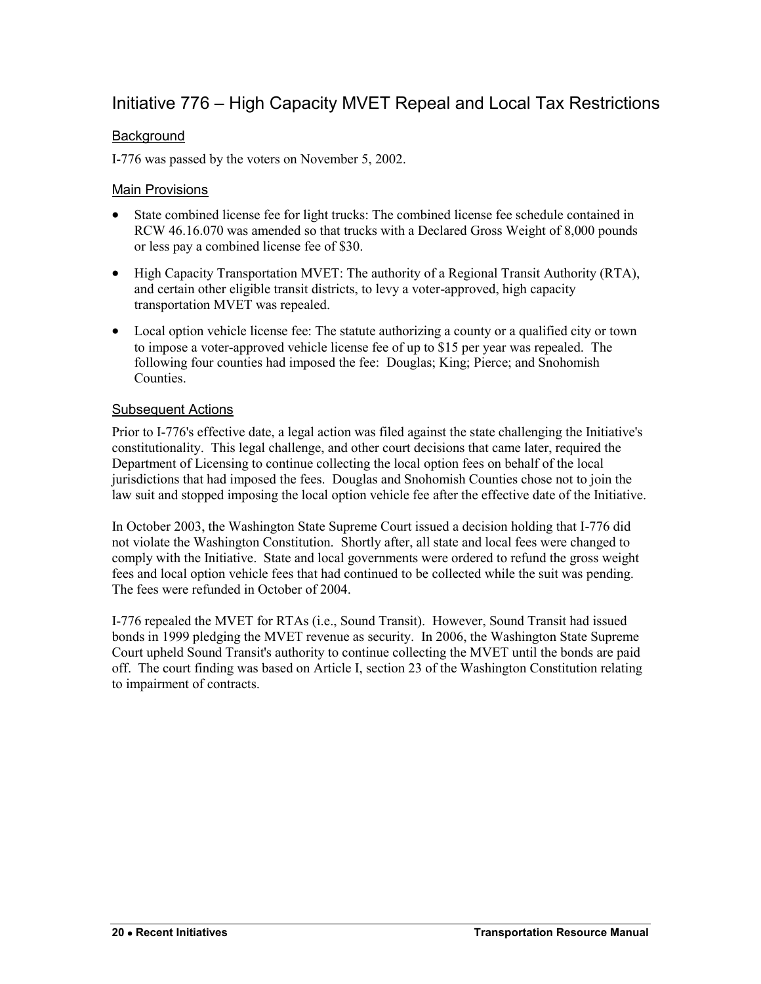### <span id="page-3-0"></span>Initiative 776 – High Capacity MVET Repeal and Local Tax Restrictions

### **Background**

I-776 was passed by the voters on November 5, 2002.

### Main Provisions

- State combined license fee for light trucks: The combined license fee schedule contained in RCW 46.16.070 was amended so that trucks with a Declared Gross Weight of 8,000 pounds or less pay a combined license fee of \$30.
- High Capacity Transportation MVET: The authority of a Regional Transit Authority (RTA), and certain other eligible transit districts, to levy a voter-approved, high capacity transportation MVET was repealed.
- Local option vehicle license fee: The statute authorizing a county or a qualified city or town to impose a voter-approved vehicle license fee of up to \$15 per year was repealed. The following four counties had imposed the fee: Douglas; King; Pierce; and Snohomish **Counties**

#### Subsequent Actions

Prior to I-776's effective date, a legal action was filed against the state challenging the Initiative's constitutionality. This legal challenge, and other court decisions that came later, required the Department of Licensing to continue collecting the local option fees on behalf of the local jurisdictions that had imposed the fees. Douglas and Snohomish Counties chose not to join the law suit and stopped imposing the local option vehicle fee after the effective date of the Initiative.

In October 2003, the Washington State Supreme Court issued a decision holding that I-776 did not violate the Washington Constitution. Shortly after, all state and local fees were changed to comply with the Initiative. State and local governments were ordered to refund the gross weight fees and local option vehicle fees that had continued to be collected while the suit was pending. The fees were refunded in October of 2004.

I-776 repealed the MVET for RTAs (i.e., Sound Transit). However, Sound Transit had issued bonds in 1999 pledging the MVET revenue as security. In 2006, the Washington State Supreme Court upheld Sound Transit's authority to continue collecting the MVET until the bonds are paid off. The court finding was based on Article I, section 23 of the Washington Constitution relating to impairment of contracts.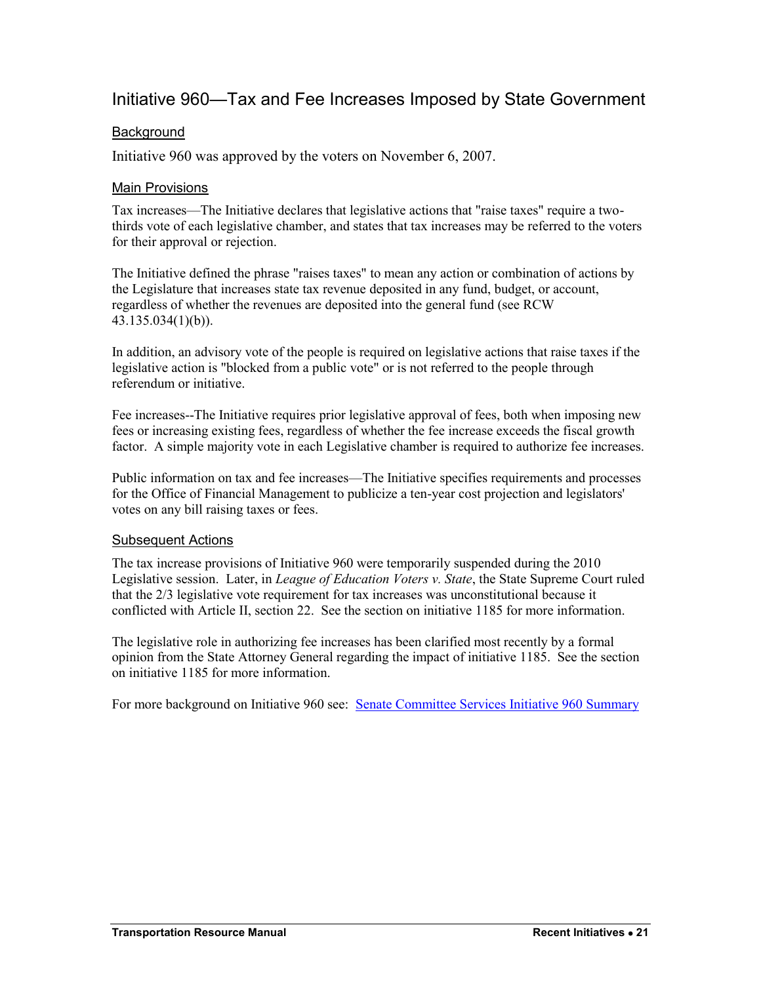### <span id="page-4-0"></span>Initiative 960—Tax and Fee Increases Imposed by State Government

### **Background**

Initiative 960 was approved by the voters on November 6, 2007.

### Main Provisions

Tax increases—The Initiative declares that legislative actions that "raise taxes" require a twothirds vote of each legislative chamber, and states that tax increases may be referred to the voters for their approval or rejection.

The Initiative defined the phrase "raises taxes" to mean any action or combination of actions by the Legislature that increases state tax revenue deposited in any fund, budget, or account, regardless of whether the revenues are deposited into the general fund (see RCW 43.135.034(1)(b)).

In addition, an advisory vote of the people is required on legislative actions that raise taxes if the legislative action is "blocked from a public vote" or is not referred to the people through referendum or initiative.

Fee increases--The Initiative requires prior legislative approval of fees, both when imposing new fees or increasing existing fees, regardless of whether the fee increase exceeds the fiscal growth factor. A simple majority vote in each Legislative chamber is required to authorize fee increases.

Public information on tax and fee increases—The Initiative specifies requirements and processes for the Office of Financial Management to publicize a ten-year cost projection and legislators' votes on any bill raising taxes or fees.

### Subsequent Actions

The tax increase provisions of Initiative 960 were temporarily suspended during the 2010 Legislative session. Later, in *League of Education Voters v. State*, the State Supreme Court ruled that the 2/3 legislative vote requirement for tax increases was unconstitutional because it conflicted with Article II, section 22. See the section on initiative 1185 for more information.

The legislative role in authorizing fee increases has been clarified most recently by a formal opinion from the State Attorney General regarding the impact of initiative 1185. See the section on initiative 1185 for more information.

For more background on Initiative 960 see: [Senate Committee Services Initiative 960 Summary](http://www.leg.wa.gov/Senate/Committees/Documents/Initiatives/2007/I960Summary.pdf)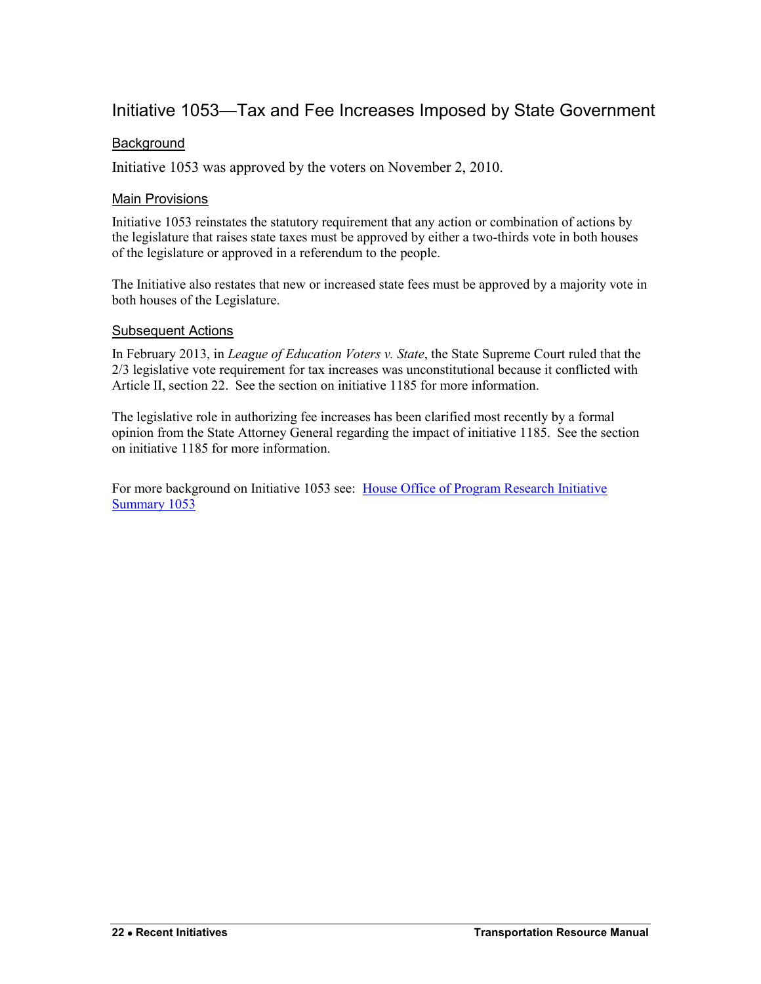### <span id="page-5-0"></span>Initiative 1053—Tax and Fee Increases Imposed by State Government

### **Background**

Initiative 1053 was approved by the voters on November 2, 2010.

### Main Provisions

Initiative 1053 reinstates the statutory requirement that any action or combination of actions by the legislature that raises state taxes must be approved by either a two-thirds vote in both houses of the legislature or approved in a referendum to the people.

The Initiative also restates that new or increased state fees must be approved by a majority vote in both houses of the Legislature.

#### Subsequent Actions

In February 2013, in *League of Education Voters v. State*, the State Supreme Court ruled that the 2/3 legislative vote requirement for tax increases was unconstitutional because it conflicted with Article II, section 22. See the section on initiative 1185 for more information.

The legislative role in authorizing fee increases has been clarified most recently by a formal opinion from the State Attorney General regarding the impact of initiative 1185. See the section on initiative 1185 for more information.

For more background on Initiative 1053 see: [House Office of Program Research Initiative](http://www.leg.wa.gov/House/Committees/OPRGeneral/Documents/2010/1053%20summary.pdf)  [Summary 1053](http://www.leg.wa.gov/House/Committees/OPRGeneral/Documents/2010/1053%20summary.pdf)